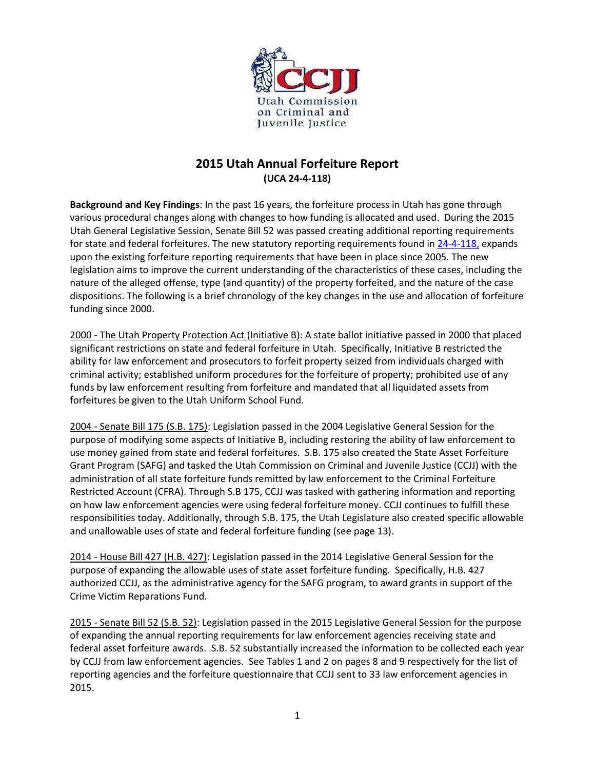

# **2015 Utah Annual Forfeiture Report (UCA 24-4-118)**

**Background and Key Findings**: In the past 16 years, the forfeiture process in Utah has gone through various procedural changes along with changes to how funding is allocated and used. During the 2015 Utah General Legislative Session, Senate Bill 52 was passed creating additional reporting requirements for state and federal forfeitures. The new statutory reporting requirements found in [24-4-118,](http://le.utah.gov/~2015/bills/static/SB0052.html) expands upon the existing forfeiture reporting requirements that have been in place since 2005. The new legislation aims to improve the current understanding of the characteristics of these cases, including the nature of the alleged offense, type (and quantity) of the property forfeited, and the nature of the case dispositions. The following is a brief chronology of the key changes in the use and allocation of forfeiture funding since 2000.

2000 - The Utah Property Protection Act (Initiative B): A state ballot initiative passed in 2000 that placed significant restrictions on state and federal forfeiture in Utah. Specifically, Initiative B restricted the ability for law enforcement and prosecutors to forfeit property seized from individuals charged with criminal activity; established uniform procedures for the forfeiture of property; prohibited use of any funds by law enforcement resulting from forfeiture and mandated that all liquidated assets from forfeitures be given to the Utah Uniform School Fund.

2004 - Senate Bill 175 (S.B. 175): Legislation passed in the 2004 Legislative General Session for the purpose of modifying some aspects of Initiative B, including restoring the ability of law enforcement to use money gained from state and federal forfeitures. S.B. 175 also created the State Asset Forfeiture Grant Program (SAFG) and tasked the Utah Commission on Criminal and Juvenile Justice (CCJJ) with the administration of all state forfeiture funds remitted by law enforcement to the Criminal Forfeiture Restricted Account (CFRA). Through S.B 175, CCJJ was tasked with gathering information and reporting on how law enforcement agencies were using federal forfeiture money. CCJJ continues to fulfill these responsibilities today. Additionally, through S.B. 175, the Utah Legislature also created specific allowable and unallowable uses of state and federal forfeiture funding (see page 13).

2014 - House Bill 427 (H.B. 427): Legislation passed in the 2014 Legislative General Session for the purpose of expanding the allowable uses of state asset forfeiture funding. Specifically, H.B. 427 authorized CCJJ, as the administrative agency for the SAFG program, to award grants in support of the Crime Victim Reparations Fund.

2015 - Senate Bill 52 (S.B. 52): Legislation passed in the 2015 Legislative General Session for the purpose of expanding the annual reporting requirements for law enforcement agencies receiving state and federal asset forfeiture awards. S.B. 52 substantially increased the information to be collected each year by CCJJ from law enforcement agencies. See Tables 1 and 2 on pages 8 and 9 respectively for the list of reporting agencies and the forfeiture questionnaire that CCJJ sent to 33 law enforcement agencies in 2015.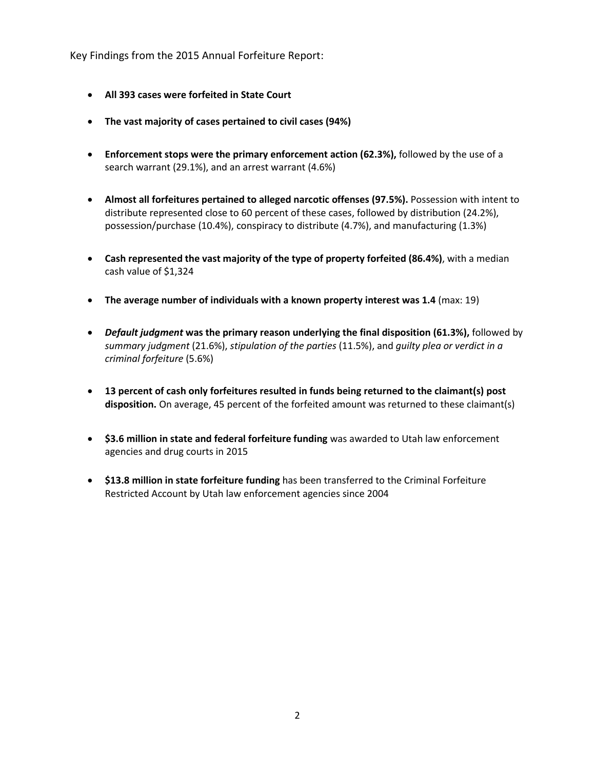Key Findings from the 2015 Annual Forfeiture Report:

- **All 393 cases were forfeited in State Court**
- **The vast majority of cases pertained to civil cases (94%)**
- **Enforcement stops were the primary enforcement action (62.3%),** followed by the use of a search warrant (29.1%), and an arrest warrant (4.6%)
- **Almost all forfeitures pertained to alleged narcotic offenses (97.5%).** Possession with intent to distribute represented close to 60 percent of these cases, followed by distribution (24.2%), possession/purchase (10.4%), conspiracy to distribute (4.7%), and manufacturing (1.3%)
- **Cash represented the vast majority of the type of property forfeited (86.4%)**, with a median cash value of \$1,324
- **The average number of individuals with a known property interest was 1.4** (max: 19)
- *Default judgment* **was the primary reason underlying the final disposition (61.3%),** followed by *summary judgment* (21.6%), *stipulation of the parties* (11.5%), and *guilty plea or verdict in a criminal forfeiture* (5.6%)
- **13 percent of cash only forfeitures resulted in funds being returned to the claimant(s) post disposition.** On average, 45 percent of the forfeited amount was returned to these claimant(s)
- **\$3.6 million in state and federal forfeiture funding** was awarded to Utah law enforcement agencies and drug courts in 2015
- **\$13.8 million in state forfeiture funding** has been transferred to the Criminal Forfeiture Restricted Account by Utah law enforcement agencies since 2004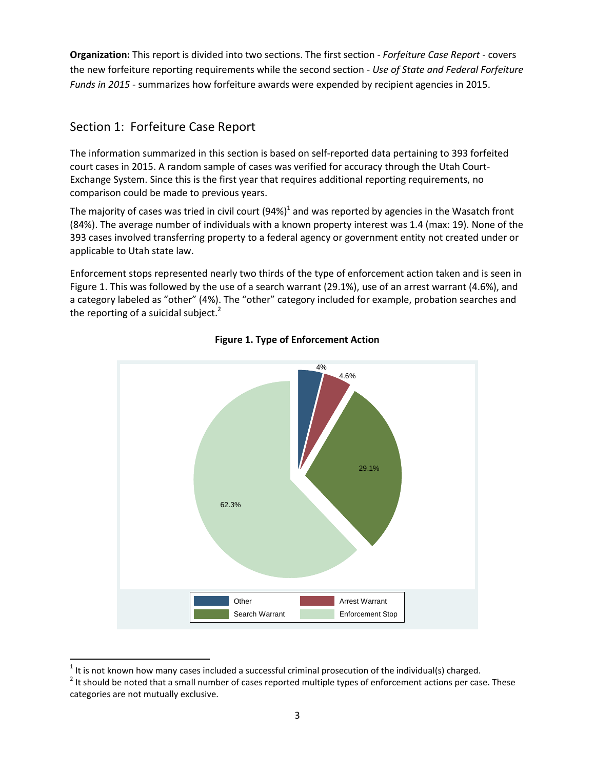**Organization:** This report is divided into two sections. The first section - *Forfeiture Case Report* - covers the new forfeiture reporting requirements while the second section *- Use of State and Federal Forfeiture Funds in 2015 -* summarizes how forfeiture awards were expended by recipient agencies in 2015.

# Section 1: Forfeiture Case Report

 $\overline{\phantom{a}}$ 

The information summarized in this section is based on self-reported data pertaining to 393 forfeited court cases in 2015. A random sample of cases was verified for accuracy through the Utah Court-Exchange System. Since this is the first year that requires additional reporting requirements, no comparison could be made to previous years.

The majority of cases was tried in civil court (94%)<sup>1</sup> and was reported by agencies in the Wasatch front (84%). The average number of individuals with a known property interest was 1.4 (max: 19). None of the 393 cases involved transferring property to a federal agency or government entity not created under or applicable to Utah state law.

Enforcement stops represented nearly two thirds of the type of enforcement action taken and is seen in Figure 1. This was followed by the use of a search warrant (29.1%), use of an arrest warrant (4.6%), and a category labeled as "other" (4%). The "other" category included for example, probation searches and the reporting of a suicidal subject.<sup>2</sup>



## **Figure 1. Type of Enforcement Action**

<sup>&</sup>lt;sup>1</sup> It is not known how many cases included a successful criminal prosecution of the individual(s) charged.

 $2$  It should be noted that a small number of cases reported multiple types of enforcement actions per case. These categories are not mutually exclusive.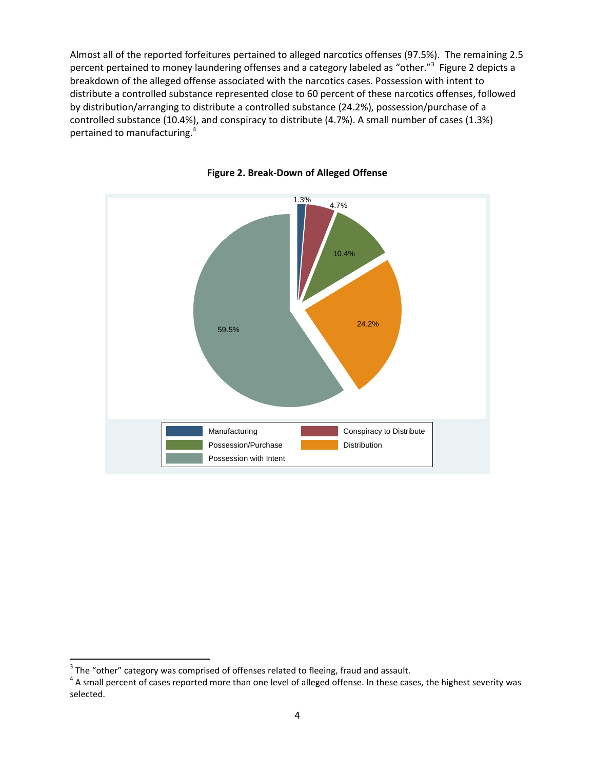Almost all of the reported forfeitures pertained to alleged narcotics offenses (97.5%). The remaining 2.5 percent pertained to money laundering offenses and a category labeled as "other."<sup>3</sup> Figure 2 depicts a breakdown of the alleged offense associated with the narcotics cases. Possession with intent to distribute a controlled substance represented close to 60 percent of these narcotics offenses, followed by distribution/arranging to distribute a controlled substance (24.2%), possession/purchase of a controlled substance (10.4%), and conspiracy to distribute (4.7%). A small number of cases (1.3%) pertained to manufacturing.<sup>4</sup>





 $\overline{\phantom{a}}$ 

 $3$  The "other" category was comprised of offenses related to fleeing, fraud and assault.

 $^4$  A small percent of cases reported more than one level of alleged offense. In these cases, the highest severity was selected.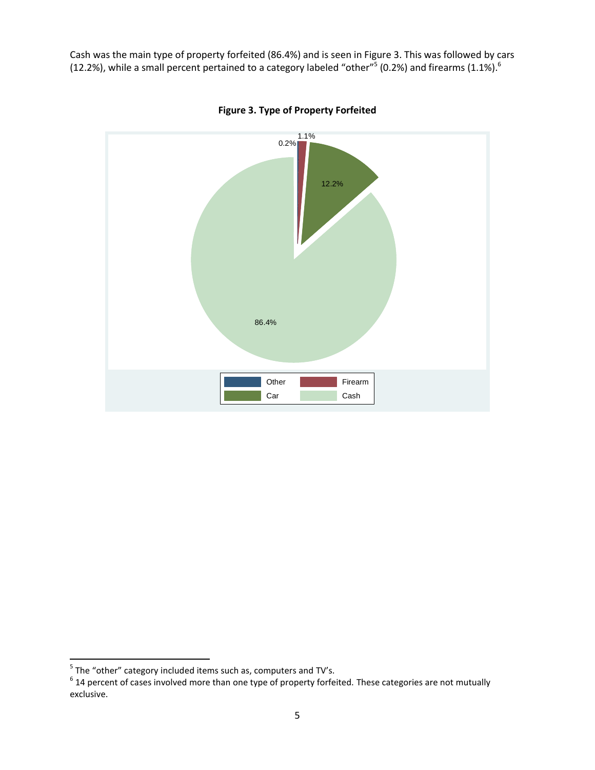Cash was the main type of property forfeited (86.4%) and is seen in Figure 3. This was followed by cars (12.2%), while a small percent pertained to a category labeled "other"<sup>5</sup> (0.2%) and firearms (1.1%).<sup>6</sup>



**Figure 3. Type of Property Forfeited**

<sup>&</sup>lt;u>Fand the "other" category included items such as, computers and TV's.</u>

 $^6$  14 percent of cases involved more than one type of property forfeited. These categories are not mutually exclusive.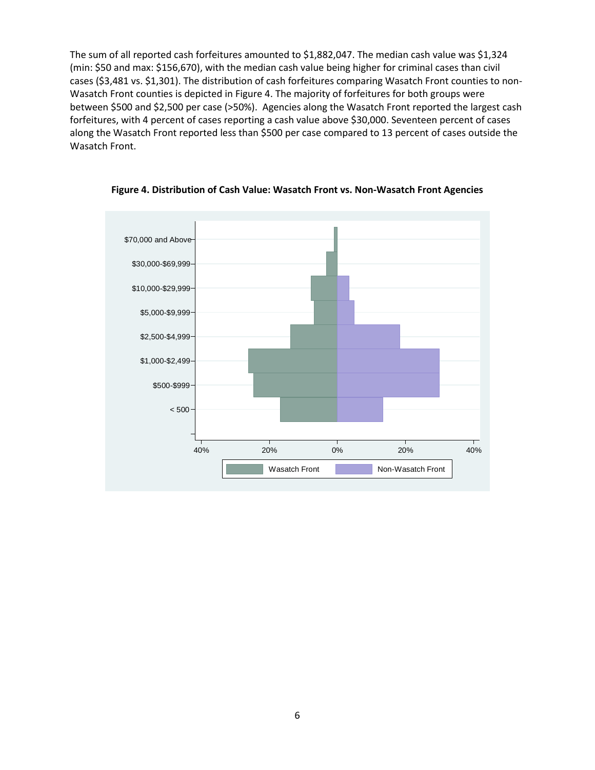The sum of all reported cash forfeitures amounted to \$1,882,047. The median cash value was \$1,324 (min: \$50 and max: \$156,670), with the median cash value being higher for criminal cases than civil cases (\$3,481 vs. \$1,301). The distribution of cash forfeitures comparing Wasatch Front counties to non-Wasatch Front counties is depicted in Figure 4. The majority of forfeitures for both groups were between \$500 and \$2,500 per case (>50%). Agencies along the Wasatch Front reported the largest cash forfeitures, with 4 percent of cases reporting a cash value above \$30,000. Seventeen percent of cases along the Wasatch Front reported less than \$500 per case compared to 13 percent of cases outside the Wasatch Front.



**Figure 4. Distribution of Cash Value: Wasatch Front vs. Non-Wasatch Front Agencies**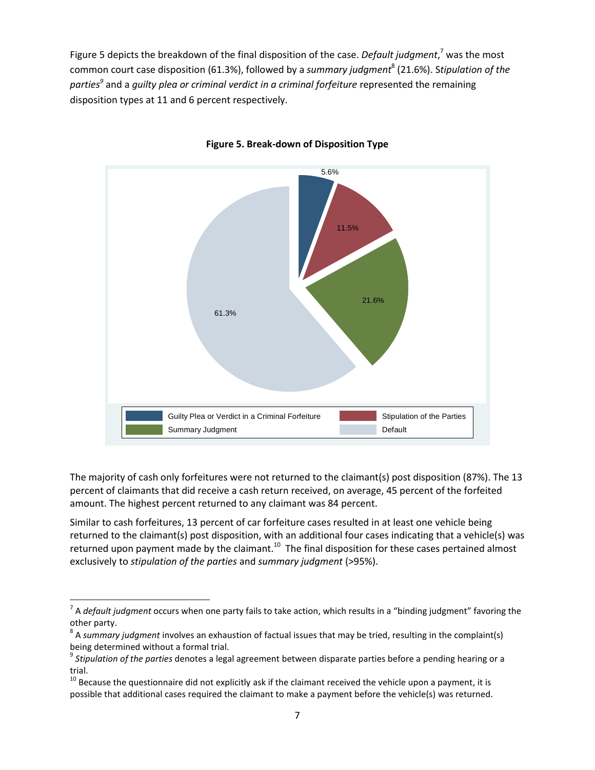Figure 5 depicts the breakdown of the final disposition of the case. *Default judgment*, <sup>7</sup> was the most common court case disposition (61.3%), followed by a summary judgment<sup>8</sup> (21.6%). Stipulation of the *parties<sup>9</sup>* and a *guilty plea or criminal verdict in a criminal forfeiture* represented the remaining disposition types at 11 and 6 percent respectively.



**Figure 5. Break-down of Disposition Type**

The majority of cash only forfeitures were not returned to the claimant(s) post disposition (87%). The 13 percent of claimants that did receive a cash return received, on average, 45 percent of the forfeited amount. The highest percent returned to any claimant was 84 percent.

Similar to cash forfeitures, 13 percent of car forfeiture cases resulted in at least one vehicle being returned to the claimant(s) post disposition, with an additional four cases indicating that a vehicle(s) was returned upon payment made by the claimant.<sup>10</sup> The final disposition for these cases pertained almost exclusively to *stipulation of the parties* and *summary judgment* (>95%).

 $\overline{\phantom{a}}$ 

<sup>7</sup> A *default judgment* occurs when one party fails to take action, which results in a "binding judgment" favoring the other party.

<sup>8</sup> A *summary judgment* involves an exhaustion of factual issues that may be tried, resulting in the complaint(s) being determined without a formal trial.

<sup>9</sup> *Stipulation of the parties* denotes a legal agreement between disparate parties before a pending hearing or a trial.

 $10$  Because the questionnaire did not explicitly ask if the claimant received the vehicle upon a payment, it is possible that additional cases required the claimant to make a payment before the vehicle(s) was returned.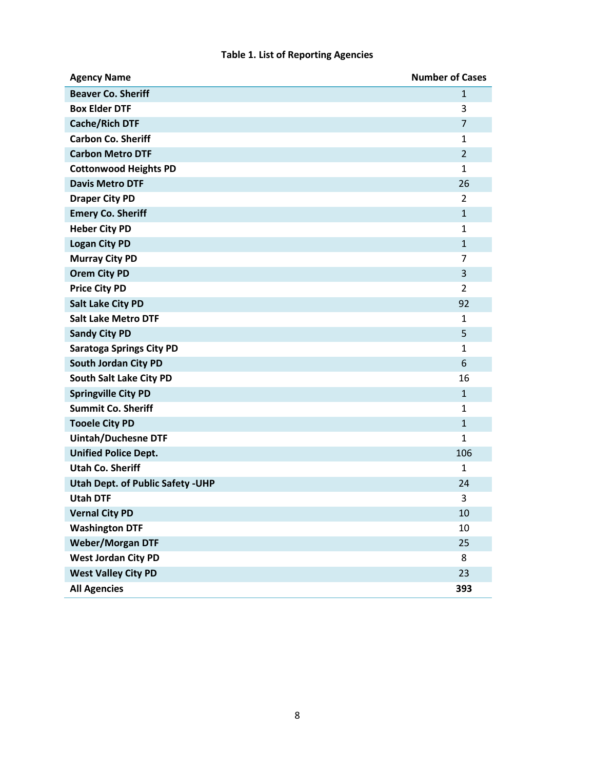## **Table 1. List of Reporting Agencies**

| <b>Agency Name</b>                       | <b>Number of Cases</b> |
|------------------------------------------|------------------------|
| <b>Beaver Co. Sheriff</b>                | $\mathbf{1}$           |
| <b>Box Elder DTF</b>                     | 3                      |
| <b>Cache/Rich DTF</b>                    | $\overline{7}$         |
| <b>Carbon Co. Sheriff</b>                | $\mathbf{1}$           |
| <b>Carbon Metro DTF</b>                  | $\overline{2}$         |
| <b>Cottonwood Heights PD</b>             | $\mathbf{1}$           |
| <b>Davis Metro DTF</b>                   | 26                     |
| <b>Draper City PD</b>                    | 2                      |
| <b>Emery Co. Sheriff</b>                 | $\mathbf{1}$           |
| <b>Heber City PD</b>                     | $\mathbf{1}$           |
| <b>Logan City PD</b>                     | $\mathbf{1}$           |
| <b>Murray City PD</b>                    | 7                      |
| <b>Orem City PD</b>                      | 3                      |
| <b>Price City PD</b>                     | $\overline{2}$         |
| <b>Salt Lake City PD</b>                 | 92                     |
| <b>Salt Lake Metro DTF</b>               | 1                      |
| <b>Sandy City PD</b>                     | 5                      |
| <b>Saratoga Springs City PD</b>          | $\mathbf{1}$           |
| South Jordan City PD                     | 6                      |
| South Salt Lake City PD                  | 16                     |
| <b>Springville City PD</b>               | $\mathbf{1}$           |
| <b>Summit Co. Sheriff</b>                | $\mathbf{1}$           |
| <b>Tooele City PD</b>                    | $\mathbf{1}$           |
| <b>Uintah/Duchesne DTF</b>               | $\mathbf{1}$           |
| <b>Unified Police Dept.</b>              | 106                    |
| <b>Utah Co. Sheriff</b>                  | $\mathbf{1}$           |
| <b>Utah Dept. of Public Safety - UHP</b> | 24                     |
| <b>Utah DTF</b>                          | 3                      |
| <b>Vernal City PD</b>                    | 10                     |
| <b>Washington DTF</b>                    | 10                     |
| <b>Weber/Morgan DTF</b>                  | 25                     |
| <b>West Jordan City PD</b>               | 8                      |
| <b>West Valley City PD</b>               | 23                     |
| <b>All Agencies</b>                      | 393                    |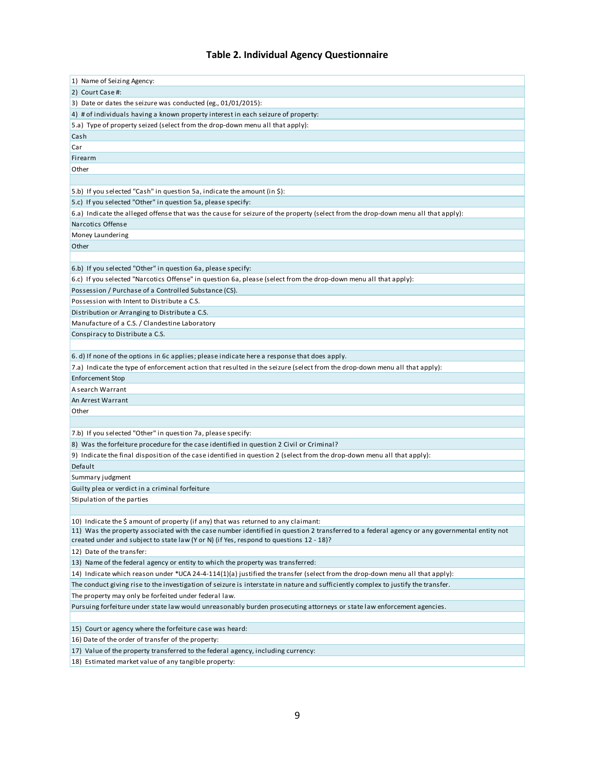## **Table 2. Individual Agency Questionnaire**

| 1) Name of Seizing Agency:                                                                                                                   |
|----------------------------------------------------------------------------------------------------------------------------------------------|
| 2) Court Case #:                                                                                                                             |
| 3) Date or dates the seizure was conducted (eg., 01/01/2015):                                                                                |
| 4) # of individuals having a known property interest in each seizure of property:                                                            |
| 5.a) Type of property seized (select from the drop-down menu all that apply):                                                                |
| Cash                                                                                                                                         |
| Car                                                                                                                                          |
| Firearm                                                                                                                                      |
| Other                                                                                                                                        |
|                                                                                                                                              |
| 5.b) If you selected "Cash" in question 5a, indicate the amount (in \$):                                                                     |
| 5.c) If you selected "Other" in question 5a, please specify:                                                                                 |
| 6.a) Indicate the alleged offense that was the cause for seizure of the property (select from the drop-down menu all that apply):            |
| Narcotics Offense                                                                                                                            |
|                                                                                                                                              |
| Money Laundering                                                                                                                             |
| Other                                                                                                                                        |
|                                                                                                                                              |
| 6.b) If you selected "Other" in question 6a, please specify:                                                                                 |
| 6.c) If you selected "Narcotics Offense" in question 6a, please (select from the drop-down menu all that apply):                             |
| Possession / Purchase of a Controlled Substance (CS).                                                                                        |
| Possession with Intent to Distribute a C.S.                                                                                                  |
| Distribution or Arranging to Distribute a C.S.                                                                                               |
| Manufacture of a C.S. / Clandestine Laboratory                                                                                               |
| Conspiracy to Distribute a C.S.                                                                                                              |
|                                                                                                                                              |
| 6. d) If none of the options in 6c applies; please indicate here a response that does apply.                                                 |
| 7.a) Indicate the type of enforcement action that resulted in the seizure (select from the drop-down menu all that apply):                   |
| Enforcement Stop                                                                                                                             |
| A search Warrant                                                                                                                             |
| An Arrest Warrant                                                                                                                            |
| Other                                                                                                                                        |
|                                                                                                                                              |
| 7.b) If you selected "Other" in question 7a, please specify:                                                                                 |
| 8) Was the forfeiture procedure for the case identified in question 2 Civil or Criminal?                                                     |
| 9) Indicate the final disposition of the case identified in question 2 (select from the drop-down menu all that apply):                      |
| Default                                                                                                                                      |
| Summary judgment                                                                                                                             |
| Guilty plea or verdict in a criminal forfeiture                                                                                              |
| Stipulation of the parties                                                                                                                   |
|                                                                                                                                              |
| 10) Indicate the \$ amount of property (if any) that was returned to any claimant:                                                           |
| 11) Was the property associated with the case number identified in question 2 transferred to a federal agency or any governmental entity not |
| created under and subject to state law (Y or N) (if Yes, respond to questions 12 - 18)?                                                      |
| 12) Date of the transfer:                                                                                                                    |
| 13) Name of the federal agency or entity to which the property was transferred:                                                              |
| 14) Indicate which reason under *UCA 24-4-114(1)(a) justified the transfer (select from the drop-down menu all that apply):                  |
| The conduct giving rise to the investigation of seizure is interstate in nature and sufficiently complex to justify the transfer.            |
| The property may only be forfeited under federal law.                                                                                        |
| Pursuing forfeiture under state law would unreasonably burden prosecuting attorneys or state law enforcement agencies.                       |
|                                                                                                                                              |
| 15) Court or agency where the forfeiture case was heard:                                                                                     |
| 16) Date of the order of transfer of the property:                                                                                           |
| 17) Value of the property transferred to the federal agency, including currency:                                                             |
| 18) Estimated market value of any tangible property:                                                                                         |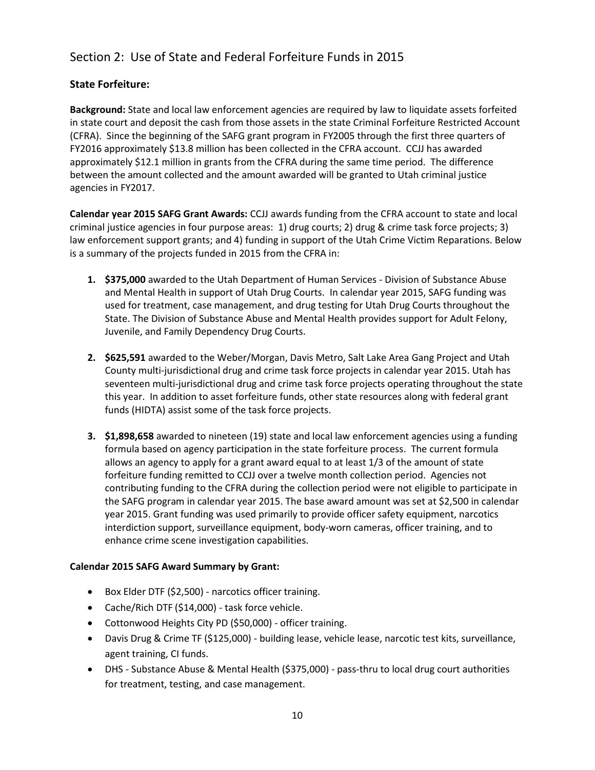# Section 2: Use of State and Federal Forfeiture Funds in 2015

## **State Forfeiture:**

**Background:** State and local law enforcement agencies are required by law to liquidate assets forfeited in state court and deposit the cash from those assets in the state Criminal Forfeiture Restricted Account (CFRA). Since the beginning of the SAFG grant program in FY2005 through the first three quarters of FY2016 approximately \$13.8 million has been collected in the CFRA account. CCJJ has awarded approximately \$12.1 million in grants from the CFRA during the same time period. The difference between the amount collected and the amount awarded will be granted to Utah criminal justice agencies in FY2017.

**Calendar year 2015 SAFG Grant Awards:** CCJJ awards funding from the CFRA account to state and local criminal justice agencies in four purpose areas: 1) drug courts; 2) drug & crime task force projects; 3) law enforcement support grants; and 4) funding in support of the Utah Crime Victim Reparations. Below is a summary of the projects funded in 2015 from the CFRA in:

- **1. \$375,000** awarded to the Utah Department of Human Services Division of Substance Abuse and Mental Health in support of Utah Drug Courts. In calendar year 2015, SAFG funding was used for treatment, case management, and drug testing for Utah Drug Courts throughout the State. The Division of Substance Abuse and Mental Health provides support for Adult Felony, Juvenile, and Family Dependency Drug Courts.
- **2. \$625,591** awarded to the Weber/Morgan, Davis Metro, Salt Lake Area Gang Project and Utah County multi-jurisdictional drug and crime task force projects in calendar year 2015. Utah has seventeen multi-jurisdictional drug and crime task force projects operating throughout the state this year. In addition to asset forfeiture funds, other state resources along with federal grant funds (HIDTA) assist some of the task force projects.
- **3. \$1,898,658** awarded to nineteen (19) state and local law enforcement agencies using a funding formula based on agency participation in the state forfeiture process. The current formula allows an agency to apply for a grant award equal to at least 1/3 of the amount of state forfeiture funding remitted to CCJJ over a twelve month collection period. Agencies not contributing funding to the CFRA during the collection period were not eligible to participate in the SAFG program in calendar year 2015. The base award amount was set at \$2,500 in calendar year 2015. Grant funding was used primarily to provide officer safety equipment, narcotics interdiction support, surveillance equipment, body-worn cameras, officer training, and to enhance crime scene investigation capabilities.

### **Calendar 2015 SAFG Award Summary by Grant:**

- Box Elder DTF (\$2,500) narcotics officer training.
- Cache/Rich DTF (\$14,000) task force vehicle.
- Cottonwood Heights City PD (\$50,000) officer training.
- Davis Drug & Crime TF (\$125,000) building lease, vehicle lease, narcotic test kits, surveillance, agent training, CI funds.
- DHS Substance Abuse & Mental Health (\$375,000) pass-thru to local drug court authorities for treatment, testing, and case management.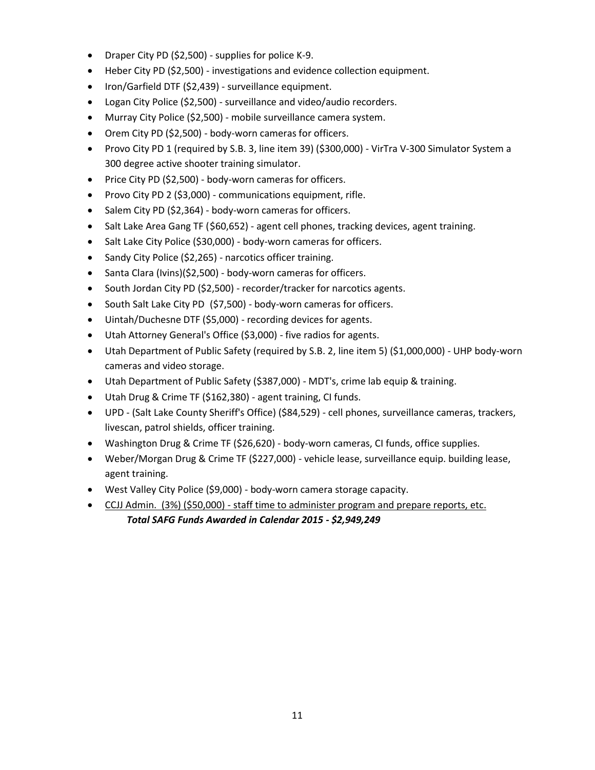- Draper City PD (\$2,500) supplies for police K-9.
- Heber City PD (\$2,500) investigations and evidence collection equipment.
- Iron/Garfield DTF (\$2,439) surveillance equipment.
- Logan City Police (\$2,500) surveillance and video/audio recorders.
- Murray City Police (\$2,500) mobile surveillance camera system.
- Orem City PD (\$2,500) body-worn cameras for officers.
- Provo City PD 1 (required by S.B. 3, line item 39) (\$300,000) VirTra V-300 Simulator System a 300 degree active shooter training simulator.
- Price City PD (\$2,500) body-worn cameras for officers.
- Provo City PD 2 (\$3,000) communications equipment, rifle.
- Salem City PD (\$2,364) body-worn cameras for officers.
- Salt Lake Area Gang TF (\$60,652) agent cell phones, tracking devices, agent training.
- Salt Lake City Police (\$30,000) body-worn cameras for officers.
- Sandy City Police (\$2,265) narcotics officer training.
- Santa Clara (Ivins)(\$2,500) body-worn cameras for officers.
- South Jordan City PD (\$2,500) recorder/tracker for narcotics agents.
- South Salt Lake City PD (\$7,500) body-worn cameras for officers.
- Uintah/Duchesne DTF (\$5,000) recording devices for agents.
- Utah Attorney General's Office (\$3,000) five radios for agents.
- Utah Department of Public Safety (required by S.B. 2, line item 5) (\$1,000,000) UHP body-worn cameras and video storage.
- Utah Department of Public Safety (\$387,000) MDT's, crime lab equip & training.
- Utah Drug & Crime TF (\$162,380) agent training, CI funds.
- UPD (Salt Lake County Sheriff's Office) (\$84,529) cell phones, surveillance cameras, trackers, livescan, patrol shields, officer training.
- Washington Drug & Crime TF (\$26,620) body-worn cameras, CI funds, office supplies.
- Weber/Morgan Drug & Crime TF (\$227,000) vehicle lease, surveillance equip. building lease, agent training.
- West Valley City Police (\$9,000) body-worn camera storage capacity.
- CCJJ Admin. (3%) (\$50,000) staff time to administer program and prepare reports, etc.  *Total SAFG Funds Awarded in Calendar 2015 - \$2,949,249*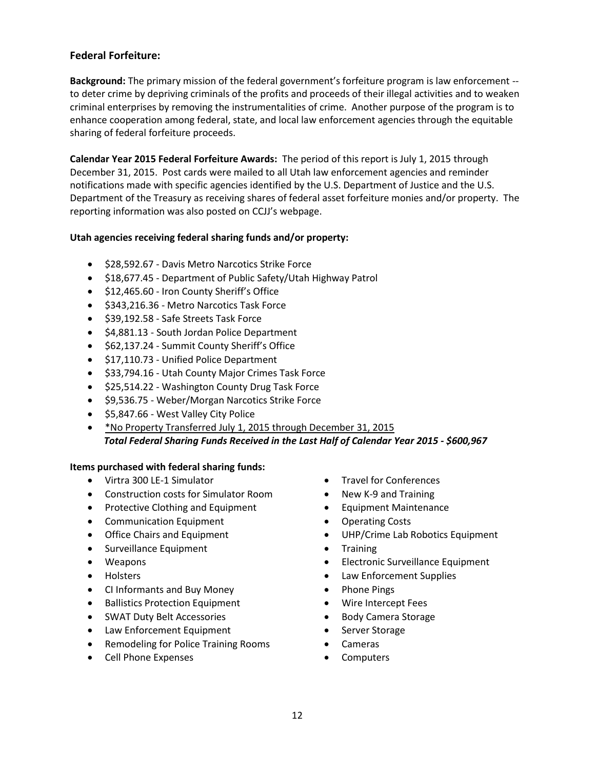## **Federal Forfeiture:**

**Background:** The primary mission of the federal government's forfeiture program is law enforcement - to deter crime by depriving criminals of the profits and proceeds of their illegal activities and to weaken criminal enterprises by removing the instrumentalities of crime. Another purpose of the program is to enhance cooperation among federal, state, and local law enforcement agencies through the equitable sharing of federal forfeiture proceeds.

**Calendar Year 2015 Federal Forfeiture Awards:** The period of this report is July 1, 2015 through December 31, 2015. Post cards were mailed to all Utah law enforcement agencies and reminder notifications made with specific agencies identified by the U.S. Department of Justice and the U.S. Department of the Treasury as receiving shares of federal asset forfeiture monies and/or property. The reporting information was also posted on CCJJ's webpage.

## **Utah agencies receiving federal sharing funds and/or property:**

- $\bullet$  \$28,592.67 Davis Metro Narcotics Strike Force
- \$18,677.45 Department of Public Safety/Utah Highway Patrol
- $\bullet$  \$12,465.60 Iron County Sheriff's Office
- $\bullet$  \$343,216.36 Metro Narcotics Task Force
- \$39,192.58 Safe Streets Task Force
- \$4,881.13 South Jordan Police Department
- \$62,137.24 Summit County Sheriff's Office
- $\bullet$  \$17,110.73 Unified Police Department
- $\bullet$  \$33,794.16 Utah County Major Crimes Task Force
- \$25,514.22 Washington County Drug Task Force
- \$9,536.75 Weber/Morgan Narcotics Strike Force
- \$5,847.66 West Valley City Police
- \*No Property Transferred July 1, 2015 through December 31, 2015  *Total Federal Sharing Funds Received in the Last Half of Calendar Year 2015 - \$600,967*

### **Items purchased with federal sharing funds:**

- Virtra 300 LE-1 Simulator
- Construction costs for Simulator Room
- Protective Clothing and Equipment
- Communication Equipment
- Office Chairs and Equipment
- Surveillance Equipment
- Weapons
- Holsters
- CI Informants and Buy Money
- Ballistics Protection Equipment
- SWAT Duty Belt Accessories
- Law Enforcement Equipment
- Remodeling for Police Training Rooms
- Cell Phone Expenses
- Travel for Conferences
- New K-9 and Training
- **•** Equipment Maintenance
- Operating Costs
- UHP/Crime Lab Robotics Equipment
- Training
- Electronic Surveillance Equipment
- Law Enforcement Supplies
- Phone Pings
- Wire Intercept Fees
- Body Camera Storage
- Server Storage
- Cameras
- Computers